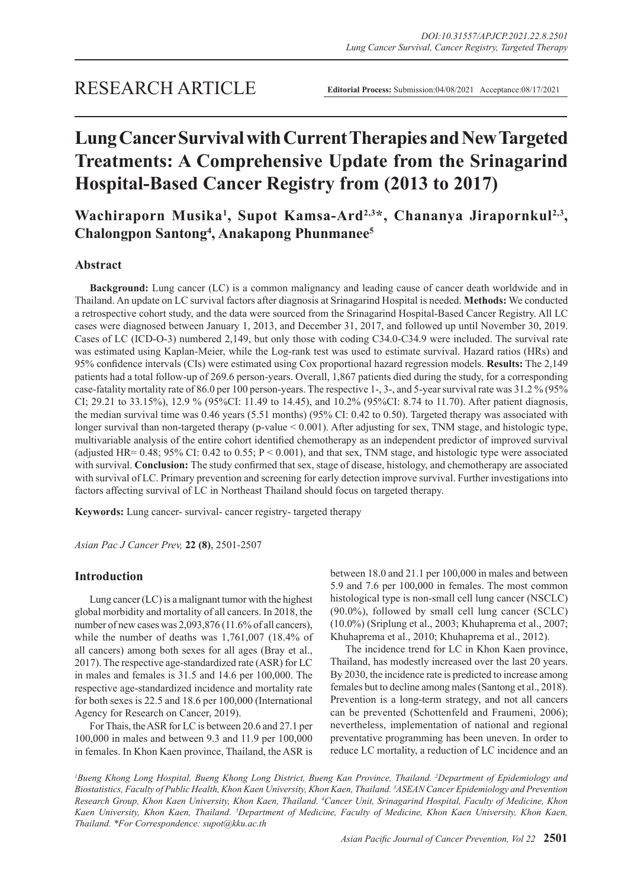# **Lung Cancer Survival with Current Therapies and New Targeted Treatments: A Comprehensive Update from the Srinagarind Hospital-Based Cancer Registry from (2013 to 2017)**

Wachiraporn Musika<sup>1</sup>, Supot Kamsa-Ard<sup>2,3\*</sup>, Chananya Jirapornkul<sup>2,3</sup>, **Chalongpon Santong4 , Anakapong Phunmanee5**

# **Abstract**

**Background:** Lung cancer (LC) is a common malignancy and leading cause of cancer death worldwide and in Thailand. An update on LC survival factors after diagnosis at Srinagarind Hospital is needed. **Methods:** We conducted a retrospective cohort study, and the data were sourced from the Srinagarind Hospital-Based Cancer Registry. All LC cases were diagnosed between January 1, 2013, and December 31, 2017, and followed up until November 30, 2019. Cases of LC (ICD-O-3) numbered 2,149, but only those with coding C34.0-C34.9 were included. The survival rate was estimated using Kaplan-Meier, while the Log-rank test was used to estimate survival. Hazard ratios (HRs) and 95% confidence intervals (CIs) were estimated using Cox proportional hazard regression models. **Results:** The 2,149 patients had a total follow-up of 269.6 person-years. Overall, 1,867 patients died during the study, for a corresponding case-fatality mortality rate of 86.0 per 100 person-years. The respective 1-, 3-, and 5-year survival rate was 31.2 % (95% CI; 29.21 to 33.15%), 12.9 % (95%CI: 11.49 to 14.45), and 10.2% (95%CI: 8.74 to 11.70). After patient diagnosis, the median survival time was 0.46 years (5.51 months) (95% CI: 0.42 to 0.50). Targeted therapy was associated with longer survival than non-targeted therapy (p-value < 0.001). After adjusting for sex, TNM stage, and histologic type, multivariable analysis of the entire cohort identified chemotherapy as an independent predictor of improved survival (adjusted HR=  $0.48$ ; 95% CI: 0.42 to 0.55; P < 0.001), and that sex, TNM stage, and histologic type were associated with survival. **Conclusion:** The study confirmed that sex, stage of disease, histology, and chemotherapy are associated with survival of LC. Primary prevention and screening for early detection improve survival. Further investigations into factors affecting survival of LC in Northeast Thailand should focus on targeted therapy.

**Keywords:** Lung cancer- survival- cancer registry- targeted therapy

*Asian Pac J Cancer Prev,* **22 (8)**, 2501-2507

# **Introduction**

Lung cancer (LC) is a malignant tumor with the highest global morbidity and mortality of all cancers. In 2018, the number of new cases was 2,093,876 (11.6% of all cancers), while the number of deaths was 1,761,007 (18.4% of all cancers) among both sexes for all ages (Bray et al., 2017). The respective age-standardized rate (ASR) for LC in males and females is 31.5 and 14.6 per 100,000. The respective age-standardized incidence and mortality rate for both sexes is 22.5 and 18.6 per 100,000 (International Agency for Research on Cancer, 2019).

For Thais, the ASR for LC is between 20.6 and 27.1 per 100,000 in males and between 9.3 and 11.9 per 100,000 in females. In Khon Kaen province, Thailand, the ASR is between 18.0 and 21.1 per 100,000 in males and between 5.9 and 7.6 per 100,000 in females. The most common histological type is non-small cell lung cancer (NSCLC) (90.0%), followed by small cell lung cancer (SCLC) (10.0%) (Sriplung et al., 2003; Khuhaprema et al., 2007; Khuhaprema et al., 2010; Khuhaprema et al., 2012).

The incidence trend for LC in Khon Kaen province, Thailand, has modestly increased over the last 20 years. By 2030, the incidence rate is predicted to increase among females but to decline among males (Santong et al., 2018). Prevention is a long-term strategy, and not all cancers can be prevented (Schottenfeld and Fraumeni, 2006); nevertheless, implementation of national and regional preventative programming has been uneven. In order to reduce LC mortality, a reduction of LC incidence and an

<sup>1</sup>Bueng Khong Long Hospital, Bueng Khong Long District, Bueng Kan Province, Thailand. <sup>2</sup>Department of Epidemiology and *Biostatistics, Faculty of Public Health, Khon Kaen University, Khon Kaen, Thailand. 3 ASEAN Cancer Epidemiology and Prevention Research Group, Khon Kaen University, Khon Kaen, Thailand. 4 Cancer Unit, Srinagarind Hospital, Faculty of Medicine, Khon*  Kaen University, Khon Kaen, Thailand. <sup>5</sup>Department of Medicine, Faculty of Medicine, Khon Kaen University, Khon Kaen, *Thailand. \*For Correspondence: supot@kku.ac.th*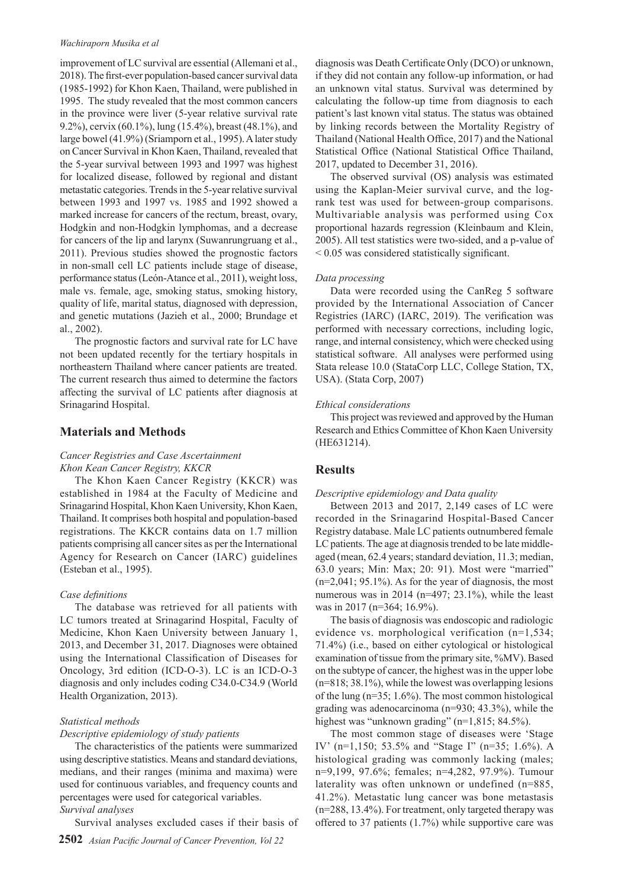#### *Wachiraporn Musika et al*

improvement of LC survival are essential (Allemani et al., 2018). The first-ever population-based cancer survival data (1985-1992) for Khon Kaen, Thailand, were published in 1995. The study revealed that the most common cancers in the province were liver (5-year relative survival rate 9.2%), cervix (60.1%), lung (15.4%), breast (48.1%), and large bowel (41.9%) (Sriamporn et al., 1995). A later study on Cancer Survival in Khon Kaen, Thailand, revealed that the 5-year survival between 1993 and 1997 was highest for localized disease, followed by regional and distant metastatic categories. Trends in the 5-year relative survival between 1993 and 1997 vs. 1985 and 1992 showed a marked increase for cancers of the rectum, breast, ovary, Hodgkin and non-Hodgkin lymphomas, and a decrease for cancers of the lip and larynx (Suwanrungruang et al., 2011). Previous studies showed the prognostic factors in non-small cell LC patients include stage of disease, performance status (León-Atance et al., 2011), weight loss, male vs. female, age, smoking status, smoking history, quality of life, marital status, diagnosed with depression, and genetic mutations (Jazieh et al., 2000; Brundage et al., 2002).

The prognostic factors and survival rate for LC have not been updated recently for the tertiary hospitals in northeastern Thailand where cancer patients are treated. The current research thus aimed to determine the factors affecting the survival of LC patients after diagnosis at Srinagarind Hospital.

## **Materials and Methods**

## *Cancer Registries and Case Ascertainment Khon Kean Cancer Registry, KKCR*

The Khon Kaen Cancer Registry (KKCR) was established in 1984 at the Faculty of Medicine and Srinagarind Hospital, Khon Kaen University, Khon Kaen, Thailand. It comprises both hospital and population-based registrations. The KKCR contains data on 1.7 million patients comprising all cancer sites as per the International Agency for Research on Cancer (IARC) guidelines (Esteban et al., 1995).

## *Case definitions*

The database was retrieved for all patients with LC tumors treated at Srinagarind Hospital, Faculty of Medicine, Khon Kaen University between January 1, 2013, and December 31, 2017. Diagnoses were obtained using the International Classification of Diseases for Oncology, 3rd edition (ICD-O-3). LC is an ICD-O-3 diagnosis and only includes coding C34.0-C34.9 (World Health Organization, 2013).

## *Statistical methods*

## *Descriptive epidemiology of study patients*

The characteristics of the patients were summarized using descriptive statistics. Means and standard deviations, medians, and their ranges (minima and maxima) were used for continuous variables, and frequency counts and percentages were used for categorical variables. *Survival analyses*

Survival analyses excluded cases if their basis of

diagnosis was Death Certificate Only (DCO) or unknown, if they did not contain any follow-up information, or had an unknown vital status. Survival was determined by calculating the follow-up time from diagnosis to each patient's last known vital status. The status was obtained by linking records between the Mortality Registry of Thailand (National Health Office, 2017) and the National Statistical Office (National Statistical Office Thailand, 2017, updated to December 31, 2016).

The observed survival (OS) analysis was estimated using the Kaplan-Meier survival curve, and the logrank test was used for between-group comparisons. Multivariable analysis was performed using Cox proportional hazards regression (Kleinbaum and Klein, 2005). All test statistics were two-sided, and a p-value of < 0.05 was considered statistically significant.

#### *Data processing*

Data were recorded using the CanReg 5 software provided by the International Association of Cancer Registries (IARC) (IARC, 2019). The verification was performed with necessary corrections, including logic, range, and internal consistency, which were checked using statistical software. All analyses were performed using Stata release 10.0 (StataCorp LLC, College Station, TX, USA). (Stata Corp, 2007)

#### *Ethical considerations*

This project was reviewed and approved by the Human Research and Ethics Committee of Khon Kaen University (HE631214).

## **Results**

#### *Descriptive epidemiology and Data quality*

Between 2013 and 2017, 2,149 cases of LC were recorded in the Srinagarind Hospital-Based Cancer Registry database. Male LC patients outnumbered female LC patients. The age at diagnosis trended to be late middleaged (mean, 62.4 years; standard deviation, 11.3; median, 63.0 years; Min: Max; 20: 91). Most were "married"  $(n=2,041; 95.1\%)$ . As for the year of diagnosis, the most numerous was in 2014 (n=497; 23.1%), while the least was in 2017 (n=364; 16.9%).

The basis of diagnosis was endoscopic and radiologic evidence vs. morphological verification (n=1,534; 71.4%) (i.e., based on either cytological or histological examination of tissue from the primary site, %MV). Based on the subtype of cancer, the highest was in the upper lobe (n=818; 38.1%), while the lowest was overlapping lesions of the lung (n=35; 1.6%). The most common histological grading was adenocarcinoma (n=930; 43.3%), while the highest was "unknown grading" (n=1,815; 84.5%).

The most common stage of diseases were 'Stage IV' (n=1,150; 53.5% and "Stage I" (n=35; 1.6%). A histological grading was commonly lacking (males; n=9,199, 97.6%; females; n=4,282, 97.9%). Tumour laterality was often unknown or undefined (n=885, 41.2%). Metastatic lung cancer was bone metastasis (n=288, 13.4%). For treatment, only targeted therapy was offered to 37 patients (1.7%) while supportive care was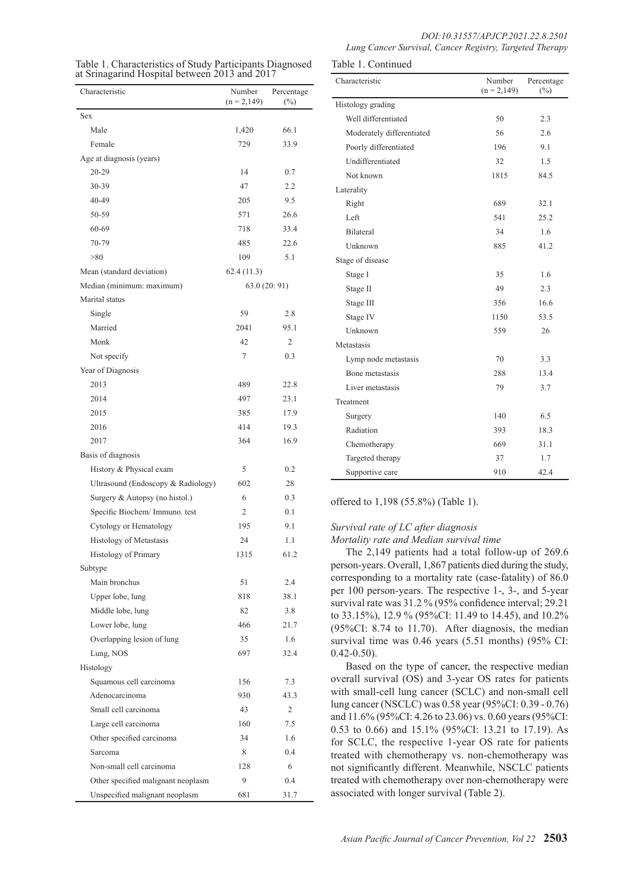| Table 1. Characteristics of Study Participants Diagnosed<br>at Srinagarind Hospital between 2013 and 2017 | Table 1. Continued |        |
|-----------------------------------------------------------------------------------------------------------|--------------------|--------|
|                                                                                                           | Characteristic     | Number |

| Characteristic                     | Number<br>$(n = 2, 149)$ | Percentage<br>$(\%)$ |
|------------------------------------|--------------------------|----------------------|
| Sex                                |                          |                      |
| Male                               | 1,420                    | 66.1                 |
| Female                             | 729                      | 33.9                 |
| Age at diagnosis (years)           |                          |                      |
| 20-29                              | 14                       | 0.7                  |
| 30-39                              | 47                       | 2.2                  |
| 40-49                              | 205                      | 9.5                  |
| 50-59                              | 571                      | 26.6                 |
| 60-69                              | 718                      | 33.4                 |
| 70-79                              | 485                      | 22.6                 |
| > 80                               | 109                      | 5.1                  |
| Mean (standard deviation)          | 62.4(11.3)               |                      |
| Median (minimum: maximum)          |                          | 63.0 (20: 91)        |
| Marital status                     |                          |                      |
| Single                             | 59                       | 2.8                  |
| Married                            | 2041                     | 95.1                 |
| Monk                               | 42                       | 2                    |
| Not specify                        | 7                        | 0.3                  |
| Year of Diagnosis                  |                          |                      |
| 2013                               | 489                      | 22.8                 |
| 2014                               | 497                      | 23.1                 |
| 2015                               | 385                      | 17.9                 |
| 2016                               | 414                      | 19.3                 |
| 2017                               | 364                      | 16.9                 |
| Basis of diagnosis                 |                          |                      |
| History & Physical exam            | 5                        | 0.2                  |
| Ultrasound (Endoscopy & Radiology) | 602                      | 28                   |
| Surgery & Autopsy (no histol.)     | 6                        | 0.3                  |
| Specific Biochem/ Immuno. test     | 2                        | 0.1                  |
| Cytology or Hematology             | 195                      | 9.1                  |
| Histology of Metastasis            | 24                       | 1.1                  |
| Histology of Primary               | 1315                     | 61.2                 |
| Subtype                            |                          |                      |
| Main bronchus                      | 51                       | 2.4                  |
| Upper lobe, lung                   | 818                      | 38.1                 |
| Middle lobe, lung                  | 82                       | 3.8                  |
| Lower lobe, lung                   | 466                      | 21.7                 |
| Overlapping lesion of lung         | 35                       | 1.6                  |
| Lung, NOS                          | 697                      | 32.4                 |
| Histology                          |                          |                      |
| Squamous cell carcinoma            | 156                      | 7.3                  |
| Adenocarcinoma                     | 930                      | 43.3                 |
| Small cell carcinoma               | 43                       | 2                    |
| Large cell carcinoma               | 160                      | 7.5                  |
| Other specified carcinoma          | 34                       | 1.6                  |
| Sarcoma                            | 8                        | 0.4                  |
| Non-small cell carcinoma           | 128                      | 6                    |
| Other specified malignant neoplasm | 9                        | 0.4                  |
| Unspecified malignant neoplasm     | 681                      | 31.7                 |

| Table 1. Continued        |                         |                      |  |
|---------------------------|-------------------------|----------------------|--|
| Characteristic            | Number<br>$(n = 2,149)$ | Percentage<br>$(\%)$ |  |
| Histology grading         |                         |                      |  |
| Well differentiated       | 50                      | 2.3                  |  |
| Moderately differentiated | 56                      | 2.6                  |  |
| Poorly differentiated     | 196                     | 9.1                  |  |
| Undifferentiated          | 32                      | 1.5                  |  |
| Not known                 | 1815                    | 84.5                 |  |
| Laterality                |                         |                      |  |
| Right                     | 689                     | 32.1                 |  |
| Left                      | 541                     | 25.2                 |  |
| <b>Bilateral</b>          | 34                      | 1.6                  |  |
| Unknown                   | 885                     | 41.2                 |  |
| Stage of disease          |                         |                      |  |
| Stage I                   | 35                      | 1.6                  |  |
| Stage II                  | 49                      | 2.3                  |  |
| Stage III                 | 356                     | 16.6                 |  |
| Stage IV                  | 1150                    | 53.5                 |  |
| Unknown                   | 559                     | 26                   |  |
| Metastasis                |                         |                      |  |
| Lymp node metastasis      | 70                      | 3.3                  |  |
| Bone metastasis           | 288                     | 13.4                 |  |
| Liver metastasis          | 79                      | 3.7                  |  |
| Treatment                 |                         |                      |  |
| Surgery                   | 140                     | 6.5                  |  |
| Radiation                 | 393                     | 18.3                 |  |
| Chemotherapy              | 669                     | 31.1                 |  |
| Targeted therapy          | 37                      | 1.7                  |  |
| Supportive care           | 910                     | 42.4                 |  |

offered to 1,198 (55.8%) (Table 1).

# *Survival rate of LC after diagnosis*

*Mortality rate and Median survival time*

The 2,149 patients had a total follow-up of 269.6 person-years. Overall, 1,867 patients died during the study, corresponding to a mortality rate (case-fatality) of 86.0 per 100 person-years. The respective 1-, 3-, and 5-year survival rate was 31.2 % (95% confidence interval; 29.21 to 33.15%), 12.9 % (95%CI: 11.49 to 14.45), and 10.2% (95%CI: 8.74 to 11.70). After diagnosis, the median survival time was 0.46 years (5.51 months) (95% CI:  $0.42 - 0.50$ ).

Based on the type of cancer, the respective median overall survival (OS) and 3-year OS rates for patients with small-cell lung cancer (SCLC) and non-small cell lung cancer (NSCLC) was 0.58 year (95%CI: 0.39 - 0.76) and 11.6% (95%CI: 4.26 to 23.06) vs. 0.60 years (95%CI: 0.53 to 0.66) and 15.1% (95%CI: 13.21 to 17.19). As for SCLC, the respective 1-year OS rate for patients treated with chemotherapy vs. non-chemotherapy was not significantly different. Meanwhile, NSCLC patients treated with chemotherapy over non-chemotherapy were associated with longer survival (Table 2).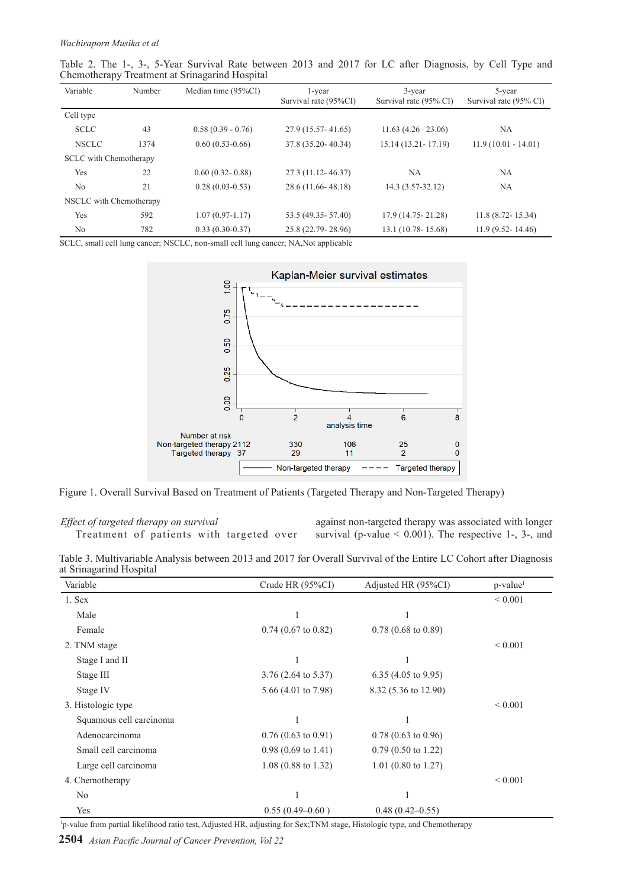| Table 2. The 1-, 3-, 5-Year Survival Rate between 2013 and 2017 for LC after Diagnosis, by Cell Type and |  |  |  |  |  |  |  |  |
|----------------------------------------------------------------------------------------------------------|--|--|--|--|--|--|--|--|
| Chemotherapy Treatment at Srinagarind Hospital                                                           |  |  |  |  |  |  |  |  |

| Variable                      | Number | Median time $(95\%CI)$ | 1-year<br>Survival rate (95%CI) | 3-year<br>Survival rate (95% CI) | 5-year<br>Survival rate (95% CI) |  |
|-------------------------------|--------|------------------------|---------------------------------|----------------------------------|----------------------------------|--|
| Cell type                     |        |                        |                                 |                                  |                                  |  |
| <b>SCLC</b>                   | 43     | $0.58(0.39 - 0.76)$    | 27.9 (15.57-41.65)              | $11.63(4.26-23.06)$              | NA                               |  |
| <b>NSCLC</b>                  | 1374   | $0.60(0.53-0.66)$      | 37.8 (35.20-40.34)              | 15.14 (13.21 - 17.19)            | $11.9(10.01 - 14.01)$            |  |
| <b>SCLC</b> with Chemotherapy |        |                        |                                 |                                  |                                  |  |
| Yes                           | 22     | $0.60(0.32 - 0.88)$    | 27.3 (11.12-46.37)              | NА                               | NA                               |  |
| N <sub>0</sub>                | 21     | $0.28(0.03-0.53)$      | 28.6 (11.66-48.18)              | $14.3(3.57-32.12)$               | NA                               |  |
| NSCLC with Chemotherapy       |        |                        |                                 |                                  |                                  |  |
| Yes                           | 592    | $1.07(0.97-1.17)$      | 53.5 (49.35 - 57.40)            | 17.9 (14.75 - 21.28)             | $11.8(8.72 - 15.34)$             |  |
| No                            | 782    | $0.33(0.30-0.37)$      | 25.8 (22.79 - 28.96)            | $13.1(10.78-15.68)$              | $11.9(9.52 - 14.46)$             |  |

SCLC, small cell lung cancer; NSCLC, non-small cell lung cancer; NA,Not applicable



Figure 1. Overall Survival Based on Treatment of Patients (Targeted Therapy and Non-Targeted Therapy)

*Effect of targeted therapy on survival* Treatment of patients with targeted over against non-targeted therapy was associated with longer survival (p-value  $\leq 0.001$ ). The respective 1-, 3-, and

Table 3. Multivariable Analysis between 2013 and 2017 for Overall Survival of the Entire LC Cohort after Diagnosis at Srinagarind Hospital

| Variable                | Crude HR (95%CI)               | Adjusted HR (95%CI)            | $p$ -value <sup>1</sup> |
|-------------------------|--------------------------------|--------------------------------|-------------------------|
| 1. Sex                  |                                |                                | ${}< 0.001$             |
| Male                    |                                |                                |                         |
| Female                  | $0.74$ (0.67 to 0.82)          | $0.78$ (0.68 to 0.89)          |                         |
| 2. TNM stage            |                                |                                | ${}_{0.001}$            |
| Stage I and II          |                                |                                |                         |
| Stage III               | $3.76$ (2.64 to 5.37)          | 6.35 $(4.05 \text{ to } 9.95)$ |                         |
| Stage IV                | 5.66 $(4.01 \text{ to } 7.98)$ | 8.32 (5.36 to 12.90)           |                         |
| 3. Histologic type      |                                |                                | ${}_{0.001}$            |
| Squamous cell carcinoma |                                |                                |                         |
| Adenocarcinoma          | $0.76(0.63 \text{ to } 0.91)$  | $0.78(0.63 \text{ to } 0.96)$  |                         |
| Small cell carcinoma    | $0.98(0.69 \text{ to } 1.41)$  | $0.79(0.50 \text{ to } 1.22)$  |                         |
| Large cell carcinoma    | $1.08$ (0.88 to 1.32)          | $1.01$ (0.80 to 1.27)          |                         |
| 4. Chemotherapy         |                                |                                | ${}_{0.001}$            |
| No                      |                                |                                |                         |
| Yes                     | $0.55(0.49-0.60)$              | $0.48(0.42 - 0.55)$            |                         |

1 p-value from partial likelihood ratio test, Adjusted HR, adjusting for Sex;TNM stage, Histologic type, and Chemotherapy

**2504** *Asian Pacific Journal of Cancer Prevention, Vol 22*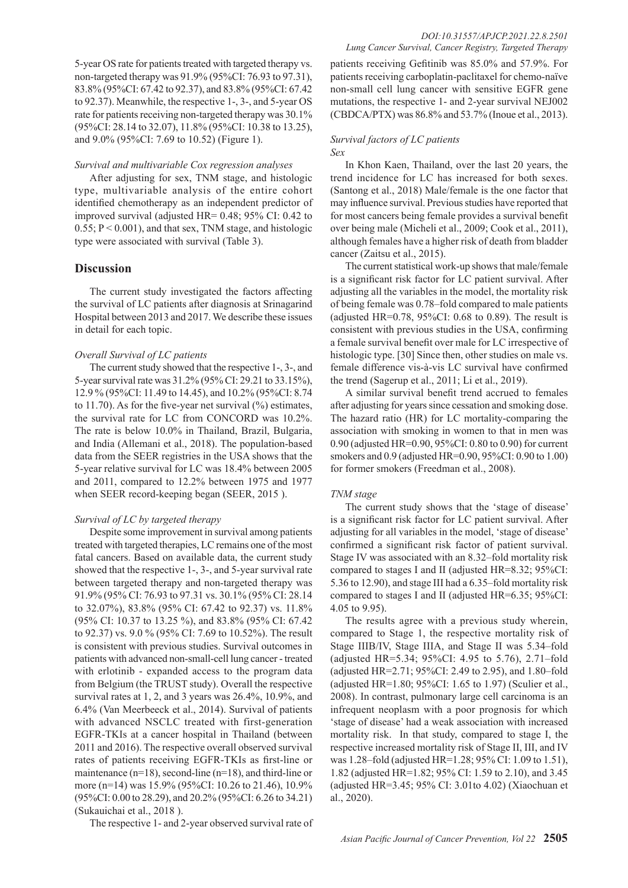5-year OS rate for patients treated with targeted therapy vs. non-targeted therapy was 91.9% (95%CI: 76.93 to 97.31), 83.8% (95%CI: 67.42 to 92.37), and 83.8% (95%CI: 67.42 to 92.37). Meanwhile, the respective 1-, 3-, and 5-year OS rate for patients receiving non-targeted therapy was 30.1% (95%CI: 28.14 to 32.07), 11.8% (95%CI: 10.38 to 13.25), and 9.0% (95%CI: 7.69 to 10.52) (Figure 1).

#### *Survival and multivariable Cox regression analyses*

After adjusting for sex, TNM stage, and histologic type, multivariable analysis of the entire cohort identified chemotherapy as an independent predictor of improved survival (adjusted HR= 0.48; 95% CI: 0.42 to  $0.55$ ;  $P < 0.001$ ), and that sex, TNM stage, and histologic type were associated with survival (Table 3).

## **Discussion**

The current study investigated the factors affecting the survival of LC patients after diagnosis at Srinagarind Hospital between 2013 and 2017. We describe these issues in detail for each topic.

## *Overall Survival of LC patients*

The current study showed that the respective 1-, 3-, and 5-year survival rate was 31.2% (95% CI: 29.21 to 33.15%), 12.9 % (95%CI: 11.49 to 14.45), and 10.2% (95%CI: 8.74 to 11.70). As for the five-year net survival  $(\% )$  estimates, the survival rate for LC from CONCORD was 10.2%. The rate is below 10.0% in Thailand, Brazil, Bulgaria, and India (Allemani et al., 2018). The population-based data from the SEER registries in the USA shows that the 5-year relative survival for LC was 18.4% between 2005 and 2011, compared to 12.2% between 1975 and 1977 when SEER record-keeping began (SEER, 2015 ).

## *Survival of LC by targeted therapy*

Despite some improvement in survival among patients treated with targeted therapies, LC remains one of the most fatal cancers. Based on available data, the current study showed that the respective 1-, 3-, and 5-year survival rate between targeted therapy and non-targeted therapy was 91.9% (95% CI: 76.93 to 97.31 vs. 30.1% (95% CI: 28.14 to 32.07%), 83.8% (95% CI: 67.42 to 92.37) vs. 11.8% (95% CI: 10.37 to 13.25 %), and 83.8% (95% CI: 67.42 to 92.37) vs. 9.0 % (95% CI: 7.69 to 10.52%). The result is consistent with previous studies. Survival outcomes in patients with advanced non-small-cell lung cancer - treated with erlotinib - expanded access to the program data from Belgium (the TRUST study). Overall the respective survival rates at 1, 2, and 3 years was 26.4%, 10.9%, and 6.4% (Van Meerbeeck et al., 2014). Survival of patients with advanced NSCLC treated with first-generation EGFR-TKIs at a cancer hospital in Thailand (between 2011 and 2016). The respective overall observed survival rates of patients receiving EGFR-TKIs as first-line or maintenance (n=18), second-line (n=18), and third-line or more (n=14) was 15.9% (95%CI: 10.26 to 21.46), 10.9% (95%CI: 0.00 to 28.29), and 20.2% (95%CI: 6.26 to 34.21) (Sukauichai et al., 2018 ).

The respective 1- and 2-year observed survival rate of

patients receiving Gefitinib was 85.0% and 57.9%. For patients receiving carboplatin-paclitaxel for chemo-naïve non-small cell lung cancer with sensitive EGFR gene mutations, the respective 1- and 2-year survival NEJ002 (CBDCA/PTX) was 86.8% and 53.7% (Inoue et al., 2013).

#### *Survival factors of LC patients Sex*

In Khon Kaen, Thailand, over the last 20 years, the trend incidence for LC has increased for both sexes. (Santong et al., 2018) Male/female is the one factor that may influence survival. Previous studies have reported that for most cancers being female provides a survival benefit over being male (Micheli et al., 2009; Cook et al., 2011), although females have a higher risk of death from bladder cancer (Zaitsu et al., 2015).

The current statistical work-up shows that male/female is a significant risk factor for LC patient survival. After adjusting all the variables in the model, the mortality risk of being female was 0.78–fold compared to male patients (adjusted HR= $0.78$ ,  $95\%$ CI: 0.68 to 0.89). The result is consistent with previous studies in the USA, confirming a female survival benefit over male for LC irrespective of histologic type. [30] Since then, other studies on male vs. female difference vis-à-vis LC survival have confirmed the trend (Sagerup et al., 2011; Li et al., 2019).

A similar survival benefit trend accrued to females after adjusting for years since cessation and smoking dose. The hazard ratio (HR) for LC mortality-comparing the association with smoking in women to that in men was 0.90 (adjusted HR=0.90, 95%CI: 0.80 to 0.90) for current smokers and 0.9 (adjusted HR=0.90, 95%CI: 0.90 to 1.00) for former smokers (Freedman et al., 2008).

## *TNM stage*

The current study shows that the 'stage of disease' is a significant risk factor for LC patient survival. After adjusting for all variables in the model, 'stage of disease' confirmed a significant risk factor of patient survival. Stage IV was associated with an 8.32–fold mortality risk compared to stages I and II (adjusted HR=8.32; 95%CI: 5.36 to 12.90), and stage III had a 6.35–fold mortality risk compared to stages I and II (adjusted HR=6.35; 95%CI: 4.05 to 9.95).

The results agree with a previous study wherein, compared to Stage 1, the respective mortality risk of Stage IIIB/IV, Stage IIIA, and Stage II was 5.34–fold (adjusted HR=5.34; 95%CI: 4.95 to 5.76), 2.71–fold (adjusted HR=2.71; 95%CI: 2.49 to 2.95), and 1.80–fold (adjusted HR=1.80; 95%CI: 1.65 to 1.97) (Sculier et al., 2008). In contrast, pulmonary large cell carcinoma is an infrequent neoplasm with a poor prognosis for which 'stage of disease' had a weak association with increased mortality risk. In that study, compared to stage I, the respective increased mortality risk of Stage II, III, and IV was 1.28–fold (adjusted HR=1.28; 95% CI: 1.09 to 1.51), 1.82 (adjusted HR=1.82; 95% CI: 1.59 to 2.10), and 3.45 (adjusted HR=3.45; 95% CI: 3.01to 4.02) (Xiaochuan et al., 2020).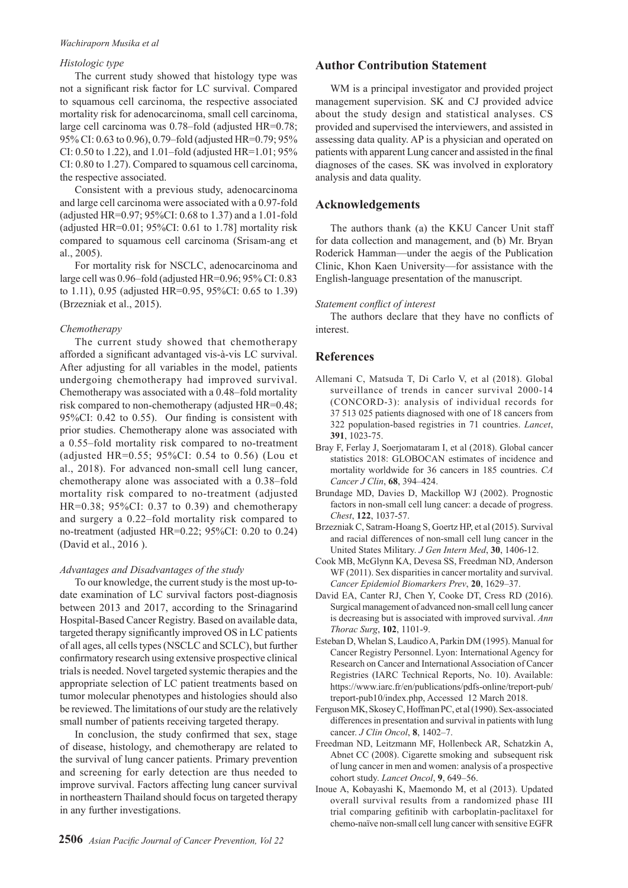#### *Wachiraporn Musika et al*

## *Histologic type*

The current study showed that histology type was not a significant risk factor for LC survival. Compared to squamous cell carcinoma, the respective associated mortality risk for adenocarcinoma, small cell carcinoma, large cell carcinoma was 0.78–fold (adjusted HR=0.78; 95% CI: 0.63 to 0.96), 0.79–fold (adjusted HR=0.79; 95% CI: 0.50 to 1.22), and 1.01–fold (adjusted HR=1.01; 95% CI: 0.80 to 1.27). Compared to squamous cell carcinoma, the respective associated.

Consistent with a previous study, adenocarcinoma and large cell carcinoma were associated with a 0.97-fold (adjusted HR=0.97; 95%CI: 0.68 to 1.37) and a 1.01-fold (adjusted HR=0.01;  $95\%$ CI: 0.61 to 1.78] mortality risk compared to squamous cell carcinoma (Srisam-ang et al., 2005).

For mortality risk for NSCLC, adenocarcinoma and large cell was 0.96–fold (adjusted HR=0.96; 95% CI: 0.83 to 1.11), 0.95 (adjusted HR=0.95, 95%CI: 0.65 to 1.39) (Brzezniak et al., 2015).

## *Chemotherapy*

The current study showed that chemotherapy afforded a significant advantaged vis-à-vis LC survival. After adjusting for all variables in the model, patients undergoing chemotherapy had improved survival. Chemotherapy was associated with a 0.48–fold mortality risk compared to non-chemotherapy (adjusted HR=0.48; 95%CI: 0.42 to 0.55). Our finding is consistent with prior studies. Chemotherapy alone was associated with a 0.55–fold mortality risk compared to no-treatment (adjusted HR=0.55; 95%CI: 0.54 to 0.56) (Lou et al., 2018). For advanced non-small cell lung cancer, chemotherapy alone was associated with a 0.38–fold mortality risk compared to no-treatment (adjusted HR=0.38; 95%CI: 0.37 to 0.39) and chemotherapy and surgery a 0.22–fold mortality risk compared to no-treatment (adjusted HR=0.22; 95%CI: 0.20 to 0.24) (David et al., 2016 ).

#### *Advantages and Disadvantages of the study*

To our knowledge, the current study is the most up-todate examination of LC survival factors post-diagnosis between 2013 and 2017, according to the Srinagarind Hospital-Based Cancer Registry. Based on available data, targeted therapy significantly improved OS in LC patients of all ages, all cells types (NSCLC and SCLC), but further confirmatory research using extensive prospective clinical trials is needed. Novel targeted systemic therapies and the appropriate selection of LC patient treatments based on tumor molecular phenotypes and histologies should also be reviewed. The limitations of our study are the relatively small number of patients receiving targeted therapy.

In conclusion, the study confirmed that sex, stage of disease, histology, and chemotherapy are related to the survival of lung cancer patients. Primary prevention and screening for early detection are thus needed to improve survival. Factors affecting lung cancer survival in northeastern Thailand should focus on targeted therapy in any further investigations.

# **Author Contribution Statement**

WM is a principal investigator and provided project management supervision. SK and CJ provided advice about the study design and statistical analyses. CS provided and supervised the interviewers, and assisted in assessing data quality. AP is a physician and operated on patients with apparent Lung cancer and assisted in the final diagnoses of the cases. SK was involved in exploratory analysis and data quality.

## **Acknowledgements**

The authors thank (a) the KKU Cancer Unit staff for data collection and management, and (b) Mr. Bryan Roderick Hamman—under the aegis of the Publication Clinic, Khon Kaen University—for assistance with the English-language presentation of the manuscript.

#### *Statement conflict of interest*

The authors declare that they have no conflicts of interest.

## **References**

- Allemani C, Matsuda T, Di Carlo V, et al (2018). Global surveillance of trends in cancer survival 2000-14 (CONCORD-3): analysis of individual records for 37 513 025 patients diagnosed with one of 18 cancers from 322 population-based registries in 71 countries. *Lancet*, **391**, 1023-75.
- Bray F, Ferlay J, Soerjomataram I, et al (2018). Global cancer statistics 2018: GLOBOCAN estimates of incidence and mortality worldwide for 36 cancers in 185 countries. *CA Cancer J Clin*, **68**, 394–424.
- Brundage MD, Davies D, Mackillop WJ (2002). Prognostic factors in non-small cell lung cancer: a decade of progress. *Chest*, **122**, 1037-57.
- Brzezniak C, Satram-Hoang S, Goertz HP, et al (2015). Survival and racial differences of non-small cell lung cancer in the United States Military. *J Gen Intern Med*, **30**, 1406-12.
- Cook MB, McGlynn KA, Devesa SS, Freedman ND, Anderson WF (2011). Sex disparities in cancer mortality and survival. *Cancer Epidemiol Biomarkers Prev*, **20**, 1629–37.
- David EA, Canter RJ, Chen Y, Cooke DT, Cress RD (2016). Surgical management of advanced non-small cell lung cancer is decreasing but is associated with improved survival. *Ann Thorac Surg*, **102**, 1101-9.
- Esteban D, Whelan S, Laudico A, Parkin DM (1995). Manual for Cancer Registry Personnel. Lyon: International Agency for Research on Cancer and International Association of Cancer Registries (IARC Technical Reports, No. 10). Available: https://www.iarc.fr/en/publications/pdfs-online/treport-pub/ treport-pub10/index.php, Accessed 12 March 2018.
- Ferguson MK, Skosey C, Hoffman PC, et al (1990). Sex-associated differences in presentation and survival in patients with lung cancer. *J Clin Oncol*, **8**, 1402–7.
- Freedman ND, Leitzmann MF, Hollenbeck AR, Schatzkin A, Abnet CC (2008). Cigarette smoking and subsequent risk of lung cancer in men and women: analysis of a prospective cohort study. *Lancet Oncol*, **9**, 649–56.
- Inoue A, Kobayashi K, Maemondo M, et al (2013). Updated overall survival results from a randomized phase III trial comparing gefitinib with carboplatin-paclitaxel for chemo-naïve non-small cell lung cancer with sensitive EGFR